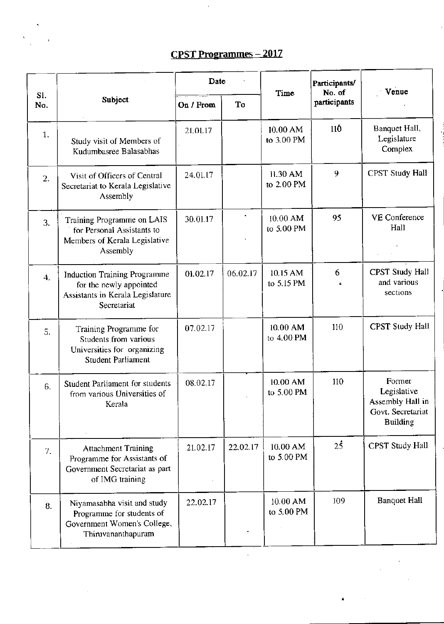## CPST Programmes - 2017

|                  |                                                                                                                   | Date      |          | Time                     | Participants/<br>No. of | Venue                                                                             |  |
|------------------|-------------------------------------------------------------------------------------------------------------------|-----------|----------|--------------------------|-------------------------|-----------------------------------------------------------------------------------|--|
| S1.<br>No.       | Subject                                                                                                           | On / From | To       |                          | participants            |                                                                                   |  |
| 1.               | Study visit of Members of<br>Kudumbasree Balasabhas                                                               | 21.01.17  |          | $10.00$ AM<br>to 3.00 PM | 11Ô                     | Banquet Hall,<br>Legislature<br>Complex                                           |  |
| 2.               | Visit of Officers of Central<br>Secretariat to Kerala Legislative<br>Assembly                                     | 24.01.17  |          | 11.30 AM<br>to 2.00 PM   | 9                       | <b>CPST Study Hall</b>                                                            |  |
| 3.               | Training Programme on LAIS<br>for Personal Assistants to<br>Members of Kerala Legislative<br>Assembly             | 30.01.17  |          | $10.00$ AM<br>to 5.00 PM | 95                      | <b>VE</b> Conference<br>Hall                                                      |  |
| $\overline{4}$ . | <b>Induction Training Programme</b><br>for the newly appointed<br>Assistants in Kerala Legislature<br>Secretariat | 01.02.17  | 06.02.17 | 10.15 AM<br>to 5.15 PM   | 6                       | <b>CPST Study Hall</b><br>and various<br>sections                                 |  |
| 5.               | Training Programme for<br>Students from various<br>Universities for organizing<br><b>Student Parliament</b>       | 07.02.17  |          | 10.00 AM<br>to 4.00 PM   | 110                     | <b>CPST Study Hall</b>                                                            |  |
| 6.               | <b>Student Parliament for students</b><br>from various Universities of<br>Kerala                                  | 08.02.17  |          | 10.00 AM<br>to 5.00 PM   | 110                     | Former<br>Legislative<br>Assembly Hall in<br>Govt. Secretariat<br><b>Building</b> |  |
| 7.               | <b>Attachment Training</b><br>Programme for Assistants of<br>Government Secretariat as part<br>of IMG training    | 21.02.17  | 22.02.17 | $10.00$ AM<br>to 5.00 PM | $2\overline{5}$         | CPST Study Hall                                                                   |  |
| 8.               | Niyamasabha visit and study<br>Programme for students of<br>Government Women's College,<br>Thiruvananthapuram     | 22.02.17  |          | $10.00$ AM<br>to 5.00 PM | 109                     | <b>Banquet Hall</b>                                                               |  |

 $\hat{\mathcal{A}}$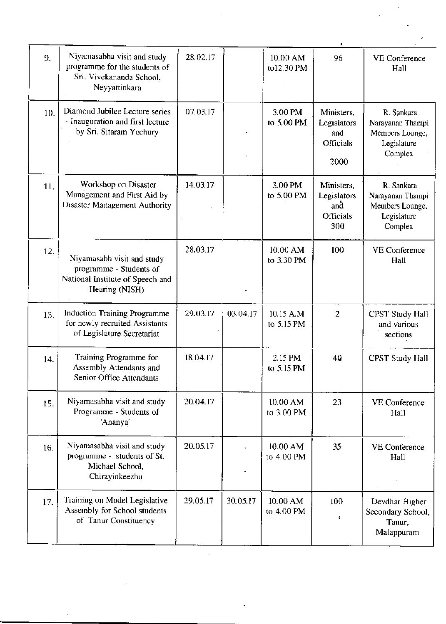| 9.  | Niyamasabha visit and study<br>programme for the students of<br>Sri. Vivekananda School,<br>Neyyattinkara   | 28.02.17 |          | 10.00 AM<br>to12.30 PM  | 96                                                          | VE Conference<br>Hall                                                       |
|-----|-------------------------------------------------------------------------------------------------------------|----------|----------|-------------------------|-------------------------------------------------------------|-----------------------------------------------------------------------------|
| 10. | Diamond Jubilee Lecture series<br>- Inauguration and first lecture<br>by Sri. Sitaram Yechury               | 07.03.17 |          | 3.00 PM<br>to 5.00 PM   | Ministers,<br>Legislators<br>and<br>Officials<br>2000       | R. Sankara<br>Narayanan Thampi<br>Members Lounge,<br>Legislature<br>Complex |
| 11. | Workshop on Disaster<br>Management and First Aid by<br>Disaster Management Authority                        | 14.03.17 |          | 3.00 PM<br>to 5.00 PM   | Ministers,<br>Legislators<br>and<br><b>Officials</b><br>300 | R. Sankara<br>Narayanan Thampi<br>Members Lounge,<br>Legislature<br>Complex |
| 12. | Niyamasabh visit and study<br>programme - Students of<br>National Institute of Speech and<br>Hearing (NISH) | 28.03.17 |          | 10.00 AM<br>to 3.30 PM  | 100                                                         | <b>VE</b> Conference<br>Hall                                                |
| 13. | <b>Induction Training Programme</b><br>for newly recruited Assistants<br>of Legislature Secretariat         | 29.03.17 | 03.04.17 | 10.15 A.M<br>to 5.15 PM | $\overline{2}$                                              | CPST Study Hall<br>and various<br>sections                                  |
| 14. | Training Programme for<br>Assembly Attendants and<br>Senior Office Attendants                               | 18.04.17 |          | 2.15 PM<br>to 5.15 PM   | 40                                                          | <b>CPST Study Hall</b>                                                      |
| 15. | Niyamasabha visit and study<br>Programme - Students of<br>'Ananya'                                          | 20.04.17 |          | 10.00 AM<br>to 3.00 PM  | 23                                                          | <b>VE Conference</b><br>Hall                                                |
| 16. | Niyamasabha visit and study<br>programme - students of St.<br>Michael School,<br>Chirayinkeezhu             | 20.05.17 |          | 10.00 AM<br>to 4.00 PM  | 35                                                          | <b>VE Conference</b><br>Hall                                                |
| 17. | Training on Model Legislative<br>Assembly for School students<br>of Tanur Constituency                      | 29.05.17 | 30.05.17 | 10.00 AM<br>to 4.00 PM  | 100                                                         | Devdhar Higher<br>Secondary School,<br>Tanur,<br>Malappuram                 |

 $\hat{\mathcal{A}}$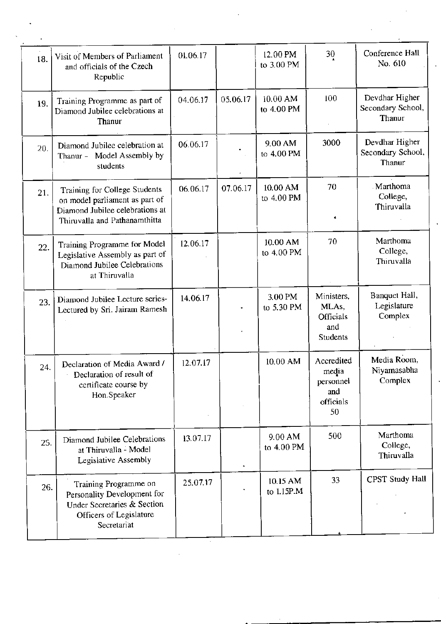| 18. | Visit of Members of Parliament<br>and officials of the Czech<br>Republic                                                                   | 01.06.17 |          | 12.00 PM<br>to 3.00 PM | 30                                                         | Conference Hall<br>No. 610                    |
|-----|--------------------------------------------------------------------------------------------------------------------------------------------|----------|----------|------------------------|------------------------------------------------------------|-----------------------------------------------|
| 19. | Training Programme as part of<br>Diamond Jubilee celebrations at<br>Thanur                                                                 | 04.06.17 | 05.06.17 | 10.00 AM<br>to 4.00 PM | 100                                                        | Devdhar Higher<br>Secondary School,<br>Thanur |
| 20. | Diamond Jubilee celebration at<br>Thanur - Model Assembly by<br>students                                                                   | 06.06.17 |          | 9.00 AM<br>to 4.00 PM  | 3000                                                       | Devdhar Higher<br>Secondary School,<br>Thanur |
|     | Training for College Students<br>21.<br>on model parliament as part of<br>Diamond Jubilee celebrations at<br>Thiruvalla and Pathanamthitta | 06.06.17 | 07.06.17 | 10.00 AM<br>to 4.00 PM | 70                                                         | Marthoma<br>College,<br>Thiruvalla            |
|     | Training Programme for Model<br>22.<br>Legislative Assembly as part of<br>Diamond Jubilee Celebrations<br>at Thiruvalla                    | 12.06.17 |          | 10.00 AM<br>to 4.00 PM | 70                                                         | Marthoma<br>College,<br>Thiruvalla            |
|     | Diamond Jubilee Lecture series-<br>23.<br>Lectured by Sri. Jairam Ramesh                                                                   | 14.06.17 |          | 3.00 PM<br>to 5.30 PM  | Ministers,<br>MLAs,<br>Officials<br>and<br><b>Students</b> | Banquet Hall,<br>Legislature<br>Complex       |
|     | Declaration of Media Award /<br>24.<br>Declaration of result of<br>certificate course by<br>Hon.Speaker                                    | 12.07.17 |          | 10.00 AM               | Accredited<br>media<br>personnel<br>and<br>officials<br>50 | Media Room,<br>Niyamasabha<br>Complex         |
|     | Diamond Jubilee Celebrations<br>25.<br>at Thiruvalla - Model<br>Legislative Assembly                                                       | 13.07.17 |          | 9.00 AM<br>to 4.00 PM  | 500                                                        | Marthoma<br>College,<br>Thiruvalla            |
|     | Training Programme on<br>26.<br>Personality Development for<br>Under Secretaries & Section<br>Officers of Legislature<br>Secretariat       | 25.07.17 |          | 10.15 AM<br>to 1.15P.M | 33                                                         | CPST Study Hall                               |

 $\boldsymbol{\gamma}$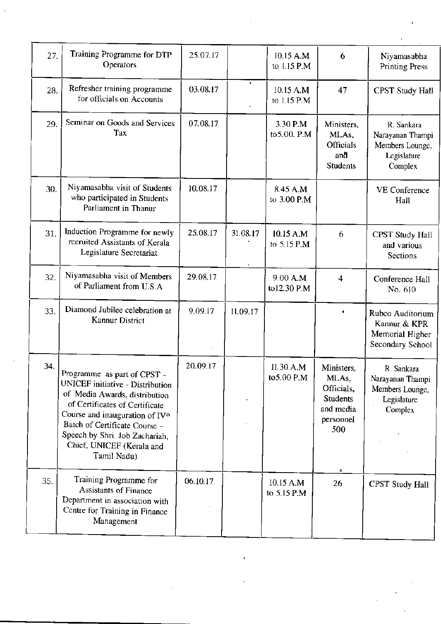| 27. | Training Programme for DTP<br>Operators                                                                                                                                                                                                                                                          | 25.07.17 |          | 10.15 A.M<br>to 1.15 P.M | 6                                                                                                  | Niyamasabha<br><b>Printing Press</b>                                        |
|-----|--------------------------------------------------------------------------------------------------------------------------------------------------------------------------------------------------------------------------------------------------------------------------------------------------|----------|----------|--------------------------|----------------------------------------------------------------------------------------------------|-----------------------------------------------------------------------------|
| 28. | Refresher training programme<br>for officials on Accounts                                                                                                                                                                                                                                        | 03.08.17 |          | 10.15 A.M<br>to 1.15 P.M | 47                                                                                                 | <b>CPST Study Hall</b>                                                      |
| 29. | Seminar on Goods and Services<br>Tax                                                                                                                                                                                                                                                             | 07.08.17 |          | 3.30 P.M<br>to 5.00. P.M | Ministers,<br>MLAs,<br><b>Officials</b><br>anå<br><b>Students</b>                                  | R. Sankara<br>Narayanan Thampi<br>Members Lounge,<br>Legislature<br>Complex |
| 30. | Niyamasabha visit of Students<br>who participated in Students<br>Parliament in Thanur                                                                                                                                                                                                            | 10.08.17 |          | 8.45 A.M<br>to 3.00 P.M  |                                                                                                    | VE Conference<br>Hall                                                       |
| 31. | Induction Programme for newly<br>recruited Assistants of Kerala<br>Legislature Secretariat                                                                                                                                                                                                       | 25.08.17 | 31.08.17 | 10.15 A.M<br>to 5.15 P.M | 6                                                                                                  | <b>CPST Study Hall</b><br>and various<br>Sections                           |
| 32. | Niyamasabha visit of Members<br>of Parliament from U.S.A                                                                                                                                                                                                                                         | 29.08.17 |          | 9.00 A.M<br>to12.30 P.M  | 4                                                                                                  | Conference Hall<br>No. 610                                                  |
| 33. | Diamond Jubilee celebration at<br>Kannur District                                                                                                                                                                                                                                                | 9.09.17  | 11.09.17 |                          | $\bullet$                                                                                          | Rubco Auditorium<br>Kannur & KPR<br>Memorial Higher<br>Secondary School     |
| 34. | Programme as part of CPST -<br>UNICEF initiative - Distribution<br>of Media Awards, distribution<br>of Certificates of Certificate<br>Course and inauguration of IV <sup>th</sup><br>Batch of Certificate Course -<br>Speech by Shri. Job Zachariah,<br>Chief, UNICEF (Kerala and<br>Tamil Nadu) | 20.09.17 |          | 11.30 A.M<br>to 5.00 P.M | Ministers,<br>MLA <sub>s</sub> ,<br>Officials,<br><b>Students</b><br>and media<br>personnel<br>500 | R. Sankara<br>Narayanan Thampi<br>Members Lounge,<br>Legislature<br>Complex |
| 35. | Training Programme for<br><b>Assistants of Finance</b><br>Department in association with<br>Centre for Training in Finance<br>Management                                                                                                                                                         | 06.10.17 |          | 10.15 A.M<br>to 5.15 P.M | 26                                                                                                 | <b>CPST Study Hall</b>                                                      |

 $\sim$ 

 $\sim$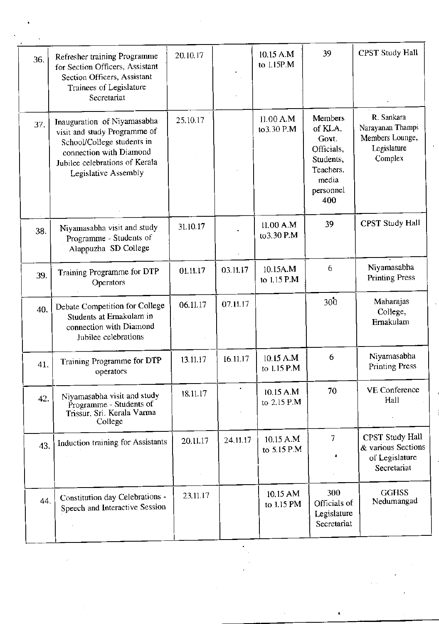| 36. | Refresher training Programme<br>for Section Officers, Assistant<br>Section Officers, Assistant<br>Trainees of Legislature<br>Secretariat                                       | 20.10.17 |          | 10.15 A.M<br>to 1.15P.M  | 39                                                                                               | <b>CPST Study Hall</b>                                                      |
|-----|--------------------------------------------------------------------------------------------------------------------------------------------------------------------------------|----------|----------|--------------------------|--------------------------------------------------------------------------------------------------|-----------------------------------------------------------------------------|
| 37. | Inauguration of Niyamasabha<br>visit and study Programme of<br>School/College students in<br>connection with Diamond<br>Jubilee celebrations of Kerala<br>Legislative Assembly | 25.10.17 |          | 11.00 A.M<br>to 3.30 P.M | Members<br>of KLA,<br>Govt.<br>Officials,<br>Students,<br>Teachers,<br>media<br>personnel<br>400 | R. Sankara<br>Narayanan Thampi<br>Members Lounge,<br>Legislature<br>Complex |
| 38. | Niyamasabha visit and study<br>Programme - Students of<br>Alappuzha SD College                                                                                                 | 31.10.17 |          | 11.00 A.M<br>to 3.30 P.M | 39                                                                                               | CPST Study Hall                                                             |
| 39. | Training Programme for DTP<br>Operators                                                                                                                                        | 01.11.17 | 03.11.17 | 10.15A.M<br>to 1.15 P.M  | 6                                                                                                | Niyamasabha<br><b>Printing Press</b>                                        |
| 40. | Debate Competition for College<br>Students at Ernakulam in<br>connection with Diamond<br>Jubilee celebrations                                                                  | 06.11.17 | 07.11.17 |                          | 300                                                                                              | Maharajas<br>College,<br>Ernakulam                                          |
| 41. | Training Programme for DTP<br>operators                                                                                                                                        | 13.11.17 | 16.11.17 | 10.15 A.M<br>to 1.15 P.M | 6                                                                                                | Niyamasabha<br><b>Printing Press</b>                                        |
| 42. | Niyamasabha visit and study<br>Programme - Students of<br>Trissur, Sri. Kerala Varma<br>College                                                                                | 18.11.17 |          | 10.15 A.M<br>to 2.15 P.M | 70                                                                                               | <b>VE Conference</b><br>Hall                                                |
| 43. | Induction training for Assistants                                                                                                                                              | 20.11.17 | 24.11.17 | 10.15 A.M<br>to 5.15 P.M | $\overline{7}$                                                                                   | CPST Study Hall<br>& various Sections<br>of Legislature<br>Secretariat      |
| 44. | Constitution day Celebrations -<br>Speech and Interactive Session                                                                                                              | 23.11.17 |          | 10.15 AM<br>to 1.15 PM   | 300<br>Officials of<br>Legislature<br>Secretariat                                                | <b>GGHSS</b><br>Nedumangad                                                  |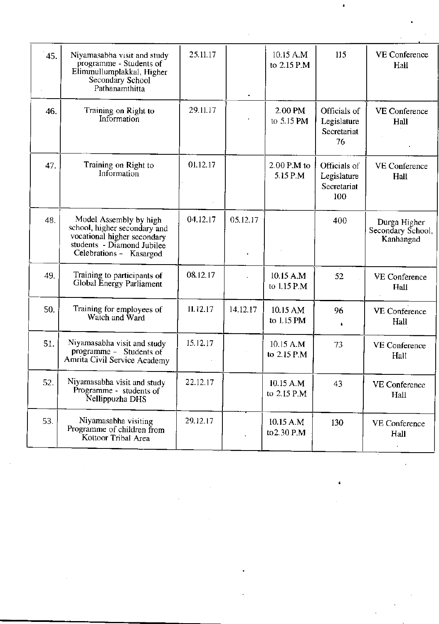| 45. | Niyamasabha visit and study<br>programme - Students of<br>Elimmullumplakkal, Higher<br>Secondary School<br>Pathanamthitta                      | 25.11.17 |          | 10.15 A.M<br>to 2.15 P.M  | 115                                               | <b>VE Conference</b><br>Hall                   |
|-----|------------------------------------------------------------------------------------------------------------------------------------------------|----------|----------|---------------------------|---------------------------------------------------|------------------------------------------------|
| 46. | Training on Right to<br>Information                                                                                                            | 29.11.17 |          | 2.00 PM<br>to 5.15 PM     | Officials of<br>Legislature<br>Secretariat<br>76  | <b>VE</b> Conference<br>Hall                   |
| 47. | Training on Right to<br>Information                                                                                                            | 01.12.17 |          | $2.00$ P.M to<br>5.15 P.M | Officials of<br>Legislature<br>Secretariat<br>100 | <b>VE Conference</b><br>Hall                   |
| 48. | Model Assembly by high<br>school, higher secondary and<br>vocational higher secondary<br>students - Diamond Jubilee<br>Celebrations - Kasargod | 04.12.17 | 05.12.17 |                           | 400                                               | Durga Higher<br>Secondary School,<br>Kanhangad |
| 49. | Training to participants of<br>Global Energy Parliament                                                                                        | 08.12.17 |          | 10.15 A.M<br>to 1.15 P.M  | 52                                                | <b>VE Conference</b><br>Hall                   |
| 50. | Training for employees of<br>Watch and Ward                                                                                                    | 11.12.17 | 14.12.17 | 10.15 AM<br>to 1.15 PM    | 96<br>٠                                           | <b>VE Conference</b><br>Hall                   |
| 51. | Niyamasabha visit and study<br>programme - Students of<br>Amrita Civil Service Academy                                                         | 15.12.17 |          | 10.15 A.M<br>to 2.15 P.M  | 73                                                | VE Conference<br>Hall                          |
| 52. | Niyamasabha visit and study<br>Programme - students of<br>Nellippuzha DHS                                                                      | 22.12.17 |          | 10.15 A.M<br>to 2.15 P.M  | 43                                                | <b>VE Conference</b><br>Hall                   |
| 53. | Niyamasabha visiting<br>Programme of children from<br>Kottoor Tribal Area                                                                      | 29.12.17 |          | 10.15 A.M<br>to 2.30 P.M  | 130                                               | <b>VE Conference</b><br>Hall                   |

 $\sim$ 

 $\sim$   $\sim$ 

 $\sim$   $\epsilon$ 

 $\hat{\bullet}$ 

 $\mathcal{L}^{\text{max}}_{\text{max}}$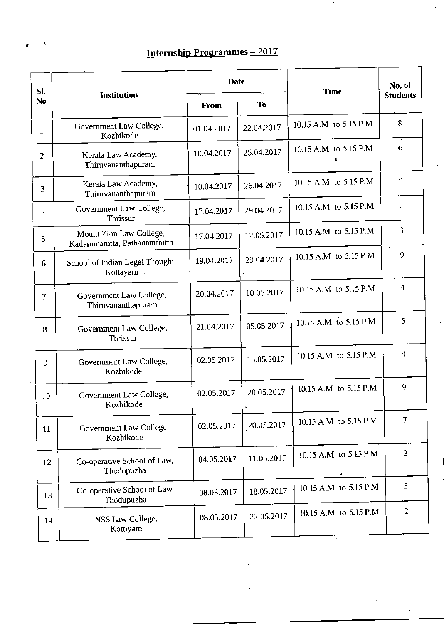## Internship Programmes - 2017

| SI.             |                                                         | <b>Date</b> |            | Time                   | No. of          |
|-----------------|---------------------------------------------------------|-------------|------------|------------------------|-----------------|
| No              | Institution                                             | From        | To         |                        | <b>Students</b> |
| 1               | Government Law College,<br>Kozhikode                    | 01.04.2017  | 22.04.2017 | 10.15 A.M to 5.15 P.M  | $^{\circ}$ 8    |
| 2               | Kerala Law Academy,<br>Thiruvananthapuram               | 10.04.2017  | 25.04.2017 | 10.15 A.M to 5.15 P.M  | 6               |
| 3               | Kerala Law Academy,<br>Thiruvananthapuram               | 10.04.2017  | 26.04.2017 | 10.15 A.M to 5.15 P.M  | $\overline{2}$  |
| 4               | Government Law College,<br>Thrissur                     | 17.04.2017  | 29.04.2017 | 10.15 A.M to 5.15 P.M  | $\overline{2}$  |
| 5               | Mount Zion Law College,<br>Kadammanitta, Pathanamthitta | 17.04.2017  | 12.05.2017 | 10.15 A.M to 5.15 P.M  | 3               |
| 6               | School of Indian Legal Thought,<br>Kottayam .           | 19.04.2017  | 29.04.2017 | 10.15 A.M to 5.15 P.M  | 9               |
| 7               | Government Law College,<br>Thiruvananthapuram           | 20.04.2017  | 10.05.2017 | 10.15 A.M to 5.15 P.M. | 4               |
| 8               | Government Law College,<br>Thrissur                     | 21.04.2017  | 05.05.2017 | 10.15 A.M to 5.15 P.M  | 5               |
| 9               | Government Law College,<br>Kozhikode                    | 02.05.2017  | 15.05.2017 | 10.15 A.M to 5.15 P.M  | $\overline{4}$  |
| 10 <sup>°</sup> | Government Law College,<br>Kozhikode                    | 02.05.2017  | 20.05.2017 | 10.15 A.M to 5.15 P.M  | 9               |
| 11              | Government Law College,<br>Kozhikode                    | 02.05.2017  | 20.05.2017 | 10.15 A.M to 5.15 P.M  | 7               |
| 12              | Co-operative School of Law,<br>Thodupuzha               | 04.05.2017  | 11.05.2017 | 10.15 A.M to 5.15 P.M  | $\overline{2}$  |
| 13              | Co-operative School of Law,<br>Thodupuzha               | 08.05.2017  | 18.05.2017 | 10.15 A.M to 5.15 P.M  | 5               |
| 14              | NSS Law College,<br>Kottiyam                            | 08.05.2017  | 22.05.2017 | 10.15 A.M to 5.15 P.M  | $\overline{2}$  |